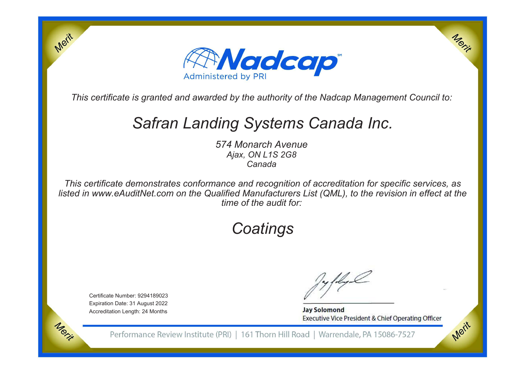

*This certificate is granted and awarded by the authority of the Nadcap Management Council to:*

## *Safran Landing Systems Canada Inc.*

*574 Monarch AvenueAjax, ON L1S 2G8Canada*

*This certificate demonstrates conformance and recognition of accreditation for specific services, as listed in www.eAuditNet.com on the Qualified Manufacturers List (QML), to the revision in effect at thetime of the audit for:*

# *Coatings*

Certificate Number: 9294189023 Expiration Date: 31 August 2022Accreditation Length: 24 Months

Merit

Morie

**Jay Solomond** Executive Vice President & Chief Operating Officer Merit

Merit

Performance Review Institute (PRI) | 161 Thorn Hill Road | Warrendale, PA 15086-7527